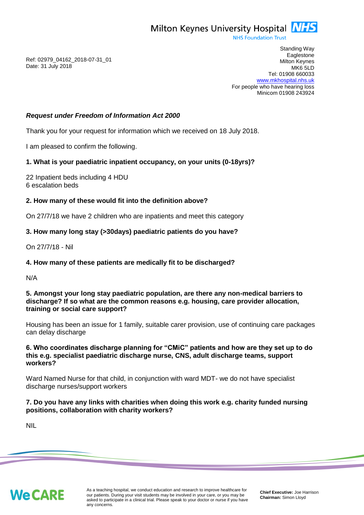

**NHS Foundation Trust** 

Ref: 02979\_04162\_2018-07-31\_01 Date: 31 July 2018

Standing Way **Eaglestone** Milton Keynes MK6 5LD Tel: 01908 660033 [www.mkhospital.nhs.uk](http://www.mkhospital.nhs.uk/) For people who have hearing loss Minicom 01908 243924

### *Request under Freedom of Information Act 2000*

Thank you for your request for information which we received on 18 July 2018.

I am pleased to confirm the following.

# **1. What is your paediatric inpatient occupancy, on your units (0-18yrs)?**

22 Inpatient beds including 4 HDU 6 escalation beds

# **2. How many of these would fit into the definition above?**

On 27/7/18 we have 2 children who are inpatients and meet this category

# **3. How many long stay (>30days) paediatric patients do you have?**

On 27/7/18 - Nil

### **4. How many of these patients are medically fit to be discharged?**

N/A

### **5. Amongst your long stay paediatric population, are there any non-medical barriers to discharge? If so what are the common reasons e.g. housing, care provider allocation, training or social care support?**

Housing has been an issue for 1 family, suitable carer provision, use of continuing care packages can delay discharge

### **6. Who coordinates discharge planning for "CMiC" patients and how are they set up to do this e.g. specialist paediatric discharge nurse, CNS, adult discharge teams, support workers?**

Ward Named Nurse for that child, in conjunction with ward MDT- we do not have specialist discharge nurses/support workers

# **7. Do you have any links with charities when doing this work e.g. charity funded nursing positions, collaboration with charity workers?**

NIL